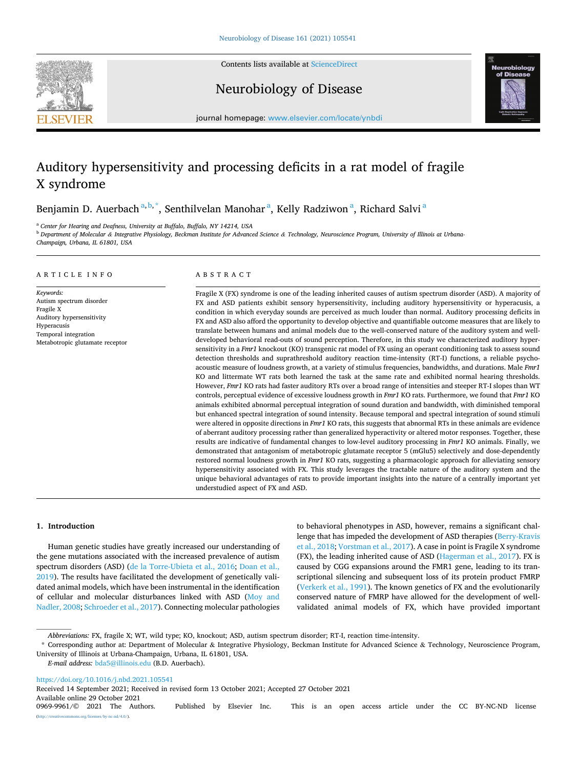

Contents lists available at [ScienceDirect](www.sciencedirect.com/science/journal/09699961)

Neurobiology of Disease



journal homepage: [www.elsevier.com/locate/ynbdi](https://www.elsevier.com/locate/ynbdi)

# Auditory hypersensitivity and processing deficits in a rat model of fragile X syndrome

Benjamin D. Auerbach <sup>a, b,\*</sup>, Senthilvelan Manohar <sup>a</sup>, Kelly Radziwon <sup>a</sup>, Richard Salvi <sup>a</sup>

<sup>a</sup> Center for Hearing and Deafness, University at Buffalo, Buffalo, NY 14214, USA

<sup>b</sup> *Department of Molecular & Integrative Physiology, Beckman Institute for Advanced Science & Technology, Neuroscience Program, University of Illinois at Urbana-Champaign, Urbana, IL 61801, USA* 

#### ARTICLE INFO

*Keywords:* 

Autism spectrum disorder

Fragile X Auditory hypersensitivity Hyperacusis Temporal integration Metabotropic glutamate receptor

# ABSTRACT

Fragile X (FX) syndrome is one of the leading inherited causes of autism spectrum disorder (ASD). A majority of FX and ASD patients exhibit sensory hypersensitivity, including auditory hypersensitivity or hyperacusis, a condition in which everyday sounds are perceived as much louder than normal. Auditory processing deficits in FX and ASD also afford the opportunity to develop objective and quantifiable outcome measures that are likely to translate between humans and animal models due to the well-conserved nature of the auditory system and welldeveloped behavioral read-outs of sound perception. Therefore, in this study we characterized auditory hypersensitivity in a *Fmr1* knockout (KO) transgenic rat model of FX using an operant conditioning task to assess sound detection thresholds and suprathreshold auditory reaction time-intensity (RT-I) functions, a reliable psychoacoustic measure of loudness growth, at a variety of stimulus frequencies, bandwidths, and durations. Male *Fmr1*  KO and littermate WT rats both learned the task at the same rate and exhibited normal hearing thresholds. However, *Fmr1* KO rats had faster auditory RTs over a broad range of intensities and steeper RT-I slopes than WT controls, perceptual evidence of excessive loudness growth in *Fmr1* KO rats. Furthermore, we found that *Fmr1* KO animals exhibited abnormal perceptual integration of sound duration and bandwidth, with diminished temporal but enhanced spectral integration of sound intensity. Because temporal and spectral integration of sound stimuli were altered in opposite directions in *Fmr1* KO rats, this suggests that abnormal RTs in these animals are evidence of aberrant auditory processing rather than generalized hyperactivity or altered motor responses. Together, these results are indicative of fundamental changes to low-level auditory processing in *Fmr1* KO animals. Finally, we demonstrated that antagonism of metabotropic glutamate receptor 5 (mGlu5) selectively and dose-dependently restored normal loudness growth in *Fmr1* KO rats, suggesting a pharmacologic approach for alleviating sensory hypersensitivity associated with FX. This study leverages the tractable nature of the auditory system and the unique behavioral advantages of rats to provide important insights into the nature of a centrally important yet understudied aspect of FX and ASD.

#### **1. Introduction**

Human genetic studies have greatly increased our understanding of the gene mutations associated with the increased prevalence of autism spectrum disorders (ASD) [\(de la Torre-Ubieta et al., 2016; Doan et al.,](#page-9-0)  [2019\)](#page-9-0). The results have facilitated the development of genetically validated animal models, which have been instrumental in the identification of cellular and molecular disturbances linked with ASD ([Moy and](#page-9-0)  [Nadler, 2008](#page-9-0); [Schroeder et al., 2017\)](#page-10-0). Connecting molecular pathologies to behavioral phenotypes in ASD, however, remains a significant challenge that has impeded the development of ASD therapies ([Berry-Kravis](#page-9-0)  [et al., 2018](#page-9-0); [Vorstman et al., 2017\)](#page-10-0). A case in point is Fragile X syndrome (FX), the leading inherited cause of ASD ([Hagerman et al., 2017\)](#page-9-0). FX is caused by CGG expansions around the FMR1 gene, leading to its transcriptional silencing and subsequent loss of its protein product FMRP ([Verkerk et al., 1991](#page-10-0)). The known genetics of FX and the evolutionarily conserved nature of FMRP have allowed for the development of wellvalidated animal models of FX, which have provided important

*E-mail address:* [bda5@illinois.edu](mailto:bda5@illinois.edu) (B.D. Auerbach).

<https://doi.org/10.1016/j.nbd.2021.105541>

(http://www.nc-nd/4.0/).

Available online 29 October 2021<br>0969-9961/© 2021 The Authors. Published by Elsevier Inc. This is an open access article under the CC BY-NC-ND license Received 14 September 2021; Received in revised form 13 October 2021; Accepted 27 October 2021

*Abbreviations:* FX, fragile X; WT, wild type; KO, knockout; ASD, autism spectrum disorder; RT-I, reaction time-intensity.

<sup>\*</sup> Corresponding author at: Department of Molecular & Integrative Physiology, Beckman Institute for Advanced Science & Technology, Neuroscience Program, University of Illinois at Urbana-Champaign, Urbana, IL 61801, USA.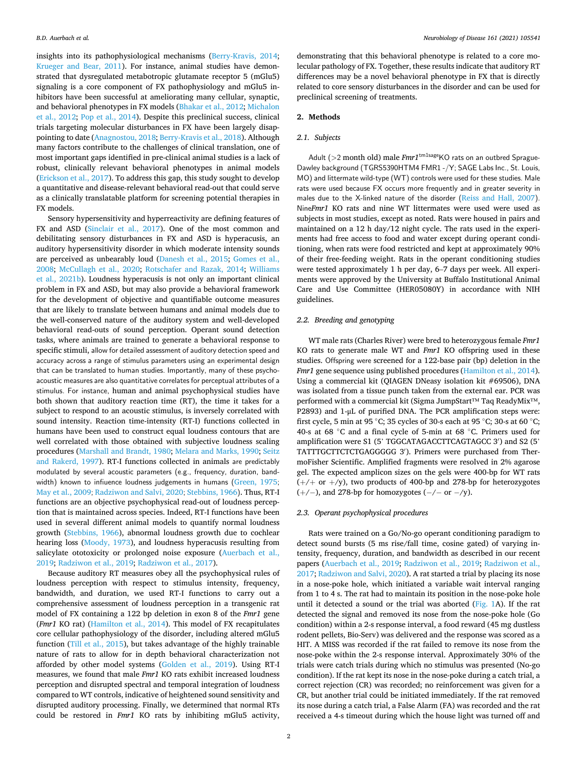insights into its pathophysiological mechanisms ([Berry-Kravis, 2014](#page-9-0); [Krueger and Bear, 2011\)](#page-9-0). For instance, animal studies have demonstrated that dysregulated metabotropic glutamate receptor 5 (mGlu5) signaling is a core component of FX pathophysiology and mGlu5 inhibitors have been successful at ameliorating many cellular, synaptic, and behavioral phenotypes in FX models ([Bhakar et al., 2012](#page-9-0); [Michalon](#page-9-0)  [et al., 2012;](#page-9-0) [Pop et al., 2014\)](#page-9-0). Despite this preclinical success, clinical trials targeting molecular disturbances in FX have been largely disappointing to date [\(Anagnostou, 2018; Berry-Kravis et al., 2018](#page-9-0)). Although many factors contribute to the challenges of clinical translation, one of most important gaps identified in pre-clinical animal studies is a lack of robust, clinically relevant behavioral phenotypes in animal models ([Erickson et al., 2017](#page-9-0)). To address this gap, this study sought to develop a quantitative and disease-relevant behavioral read-out that could serve as a clinically translatable platform for screening potential therapies in FX models.

Sensory hypersensitivity and hyperreactivity are defining features of FX and ASD ([Sinclair et al., 2017](#page-10-0)). One of the most common and debilitating sensory disturbances in FX and ASD is hyperacusis, an auditory hypersensitivity disorder in which moderate intensity sounds are perceived as unbearably loud ([Danesh et al., 2015;](#page-9-0) [Gomes et al.,](#page-9-0)  [2008;](#page-9-0) [McCullagh et al., 2020;](#page-9-0) [Rotschafer and Razak, 2014](#page-9-0); [Williams](#page-10-0)  [et al., 2021b\)](#page-10-0). Loudness hyperacusis is not only an important clinical problem in FX and ASD, but may also provide a behavioral framework for the development of objective and quantifiable outcome measures that are likely to translate between humans and animal models due to the well-conserved nature of the auditory system and well-developed behavioral read-outs of sound perception. Operant sound detection tasks, where animals are trained to generate a behavioral response to specific stimuli, allow for detailed assessment of auditory detection speed and accuracy across a range of stimulus parameters using an experimental design that can be translated to human studies. Importantly, many of these psychoacoustic measures are also quantitative correlates for perceptual attributes of a stimulus. For instance, human and animal psychophysical studies have both shown that auditory reaction time (RT), the time it takes for a subject to respond to an acoustic stimulus, is inversely correlated with sound intensity. Reaction time-intensity (RT-I) functions collected in humans have been used to construct equal loudness contours that are well correlated with those obtained with subjective loudness scaling procedures ([Marshall and Brandt, 1980](#page-9-0); [Melara and Marks, 1990](#page-9-0); [Seitz](#page-10-0)  [and Rakerd, 1997](#page-10-0)). RT-I functions collected in animals are predictably modulated by several acoustic parameters (e.g., frequency, duration, band-width) known to influence loudness judgements in humans ([Green, 1975](#page-9-0); [May et al., 2009](#page-9-0); [Radziwon and Salvi, 2020](#page-9-0); [Stebbins, 1966](#page-10-0)). Thus, RT-I functions are an objective psychophysical read-out of loudness perception that is maintained across species. Indeed, RT-I functions have been used in several different animal models to quantify normal loudness growth [\(Stebbins, 1966\)](#page-10-0), abnormal loudness growth due to cochlear hearing loss ([Moody, 1973\)](#page-9-0), and loudness hyperacusis resulting from salicylate ototoxicity or prolonged noise exposure (Auerbach et al., [2019; Radziwon et al., 2019; Radziwon et al., 2017\)](#page-9-0).

Because auditory RT measures obey all the psychophysical rules of loudness perception with respect to stimulus intensity, frequency, bandwidth, and duration, we used RT-I functions to carry out a comprehensive assessment of loudness perception in a transgenic rat model of FX containing a 122 bp deletion in exon 8 of the *Fmr1* gene (*Fmr1* KO rat) ([Hamilton et al., 2014\)](#page-9-0). This model of FX recapitulates core cellular pathophysiology of the disorder, including altered mGlu5 function ([Till et al., 2015\)](#page-10-0), but takes advantage of the highly trainable nature of rats to allow for in depth behavioral characterization not afforded by other model systems [\(Golden et al., 2019](#page-9-0)). Using RT-I measures, we found that male *Fmr1* KO rats exhibit increased loudness perception and disrupted spectral and temporal integration of loudness compared to WT controls, indicative of heightened sound sensitivity and disrupted auditory processing. Finally, we determined that normal RTs could be restored in *Fmr1* KO rats by inhibiting mGlu5 activity,

demonstrating that this behavioral phenotype is related to a core molecular pathology of FX. Together, these results indicate that auditory RT differences may be a novel behavioral phenotype in FX that is directly related to core sensory disturbances in the disorder and can be used for preclinical screening of treatments.

#### **2. Methods**

#### *2.1. Subjects*

Adult (>2 month old) male  $Fmr1^{\text{tml} \text{stage}}$ KO rats on an outbred Sprague-Dawley background (TGRS5390HTM4 FMR1 -/Y; SAGE Labs Inc., St. Louis, MO) and littermate wild-type (WT) controls were used for these studies. Male rats were used because FX occurs more frequently and in greater severity in males due to the X-linked nature of the disorder ([Reiss and Hall, 2007](#page-9-0)). Nine*Fmr1* KO rats and nine WT littermates were used were used as subjects in most studies, except as noted. Rats were housed in pairs and maintained on a 12 h day/12 night cycle. The rats used in the experiments had free access to food and water except during operant conditioning, when rats were food restricted and kept at approximately 90% of their free-feeding weight. Rats in the operant conditioning studies were tested approximately 1 h per day, 6–7 days per week. All experiments were approved by the University at Buffalo Institutional Animal Care and Use Committee (HER05080Y) in accordance with NIH guidelines.

## *2.2. Breeding and genotyping*

WT male rats (Charles River) were bred to heterozygous female *Fmr1*  KO rats to generate male WT and *Fmr1* KO offspring used in these studies. Offspring were screened for a 122-base pair (bp) deletion in the *Fmr1* gene sequence using published procedures ([Hamilton et al., 2014](#page-9-0)). Using a commercial kit (QIAGEN DNeasy isolation kit #69506), DNA was isolated from a tissue punch taken from the external ear. PCR was performed with a commercial kit (Sigma JumpStart™ Taq ReadyMix™, P2893) and 1-μL of purified DNA. The PCR amplification steps were: first cycle, 5 min at 95 ◦C; 35 cycles of 30-s each at 95 ◦C; 30-s at 60 ◦C; 40-s at 68 ◦C and a final cycle of 5-min at 68 ◦C. Primers used for amplification were S1 (5' TGGCATAGACCTTCAGTAGCC 3′ ) and S2 (5' TATTTGCTTCTCTGAGGGGG 3′ ). Primers were purchased from ThermoFisher Scientific. Amplified fragments were resolved in 2% agarose gel. The expected amplicon sizes on the gels were 400-bp for WT rats  $(+/+ or +/y)$ , two products of 400-bp and 278-bp for heterozygotes  $(+/-)$ , and 278-bp for homozygotes  $(-/-$  or  $-\prime$ y).

# *2.3. Operant psychophysical procedures*

Rats were trained on a Go/No-go operant conditioning paradigm to detect sound bursts (5 ms rise/fall time, cosine gated) of varying intensity, frequency, duration, and bandwidth as described in our recent papers [\(Auerbach et al., 2019](#page-9-0); [Radziwon et al., 2019](#page-9-0); [Radziwon et al.,](#page-9-0)  [2017; Radziwon and Salvi, 2020](#page-9-0)). A rat started a trial by placing its nose in a nose-poke hole, which initiated a variable wait interval ranging from 1 to 4 s. The rat had to maintain its position in the nose-poke hole until it detected a sound or the trial was aborted ([Fig. 1A](#page-2-0)). If the rat detected the signal and removed its nose from the nose-poke hole (Go condition) within a 2-s response interval, a food reward (45 mg dustless rodent pellets, Bio-Serv) was delivered and the response was scored as a HIT. A MISS was recorded if the rat failed to remove its nose from the nose-poke within the 2-s response interval. Approximately 30% of the trials were catch trials during which no stimulus was presented (No-go condition). If the rat kept its nose in the nose-poke during a catch trial, a correct rejection (CR) was recorded; no reinforcement was given for a CR, but another trial could be initiated immediately. If the rat removed its nose during a catch trial, a False Alarm (FA) was recorded and the rat received a 4-s timeout during which the house light was turned off and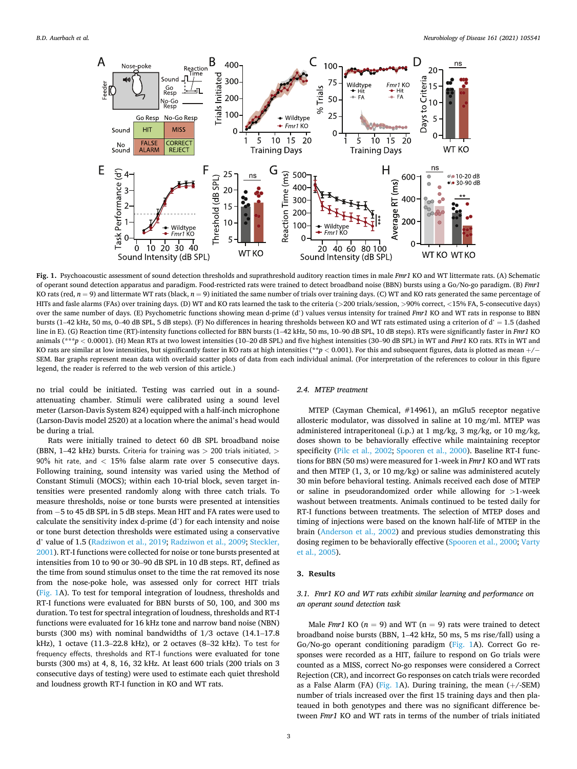<span id="page-2-0"></span>

**Fig. 1.** Psychoacoustic assessment of sound detection thresholds and suprathreshold auditory reaction times in male *Fmr1* KO and WT littermate rats. (A) Schematic of operant sound detection apparatus and paradigm. Food-restricted rats were trained to detect broadband noise (BBN) bursts using a Go/No-go paradigm. (B) *Fmr1*  KO rats (red,  $n = 9$ ) and littermate WT rats (black,  $n = 9$ ) initiated the same number of trials over training days. (C) WT and KO rats generated the same percentage of HITs and fasle alarms (FAs) over training days. (D) WT and KO rats learned the task to the criteria (*>*200 trials/session, *>*90% correct, *<*15% FA, 5-consecutive days) over the same number of days. (E) Psychometric functions showing mean d-prime (d') values versus intensity for trained *Fmr1* KO and WT rats in response to BBN bursts (1–42 kHz, 50 ms, 0–40 dB SPL, 5 dB steps). (F) No differences in hearing thresholds between KO and WT rats estimated using a criterion of d' = 1.5 (dashed line in E). (G) Reaction time (RT)-intensity functions collected for BBN bursts (1–42 kHz, 50 ms, 10–90 dB SPL, 10 dB steps). RTs were significantly faster in *Fmr1* KO animals (\*\*\**p* < 0.0001). (H) Mean RTs at two lowest intensities (10–20 dB SPL) and five highest intensities (30–90 dB SPL) in WT and *Fmr1* KO rats. RTs in WT and KO rats are similar at low intensities, but significantly faster in KO rats at high intensities (\*\**p <* 0.001). For this and subsequent figures, data is plotted as mean +/− SEM. Bar graphs represent mean data with overlaid scatter plots of data from each individual animal. (For interpretation of the references to colour in this figure legend, the reader is referred to the web version of this article.)

no trial could be initiated. Testing was carried out in a soundattenuating chamber. Stimuli were calibrated using a sound level meter (Larson-Davis System 824) equipped with a half-inch microphone (Larson-Davis model 2520) at a location where the animal's head would be during a trial.

Rats were initially trained to detect 60 dB SPL broadband noise (BBN, 1–42 kHz) bursts. Criteria for training was *>* 200 trials initiated, *>* 90% hit rate, and *<* 15% false alarm rate over 5 consecutive days. Following training, sound intensity was varied using the Method of Constant Stimuli (MOCS); within each 10-trial block, seven target intensities were presented randomly along with three catch trials. To measure thresholds, noise or tone bursts were presented at intensities from − 5 to 45 dB SPL in 5 dB steps. Mean HIT and FA rates were used to calculate the sensitivity index d-prime (d') for each intensity and noise or tone burst detection thresholds were estimated using a conservative d' value of 1.5 [\(Radziwon et al., 2019; Radziwon et al., 2009;](#page-9-0) [Steckler,](#page-10-0)  [2001\)](#page-10-0). RT-I functions were collected for noise or tone bursts presented at intensities from 10 to 90 or 30–90 dB SPL in 10 dB steps. RT, defined as the time from sound stimulus onset to the time the rat removed its nose from the nose-poke hole, was assessed only for correct HIT trials (Fig. 1A). To test for temporal integration of loudness, thresholds and RT-I functions were evaluated for BBN bursts of 50, 100, and 300 ms duration. To test for spectral integration of loudness, thresholds and RT-I functions were evaluated for 16 kHz tone and narrow band noise (NBN) bursts (300 ms) with nominal bandwidths of 1/3 octave (14.1–17.8 kHz), 1 octave (11.3–22.8 kHz), or 2 octaves (8–32 kHz). To test for frequency effects, thresholds and RT-I functions were evaluated for tone bursts (300 ms) at 4, 8, 16, 32 kHz. At least 600 trials (200 trials on 3 consecutive days of testing) were used to estimate each quiet threshold and loudness growth RT-I function in KO and WT rats.

# *2.4. MTEP treatment*

MTEP (Cayman Chemical, #14961), an mGlu5 receptor negative allosteric modulator, was dissolved in saline at 10 mg/ml. MTEP was administered intraperitoneal (i.p.) at 1 mg/kg, 3 mg/kg, or 10 mg/kg, doses shown to be behaviorally effective while maintaining receptor specificity [\(Pilc et al., 2002;](#page-9-0) [Spooren et al., 2000](#page-10-0)). Baseline RT-I functions for BBN (50 ms) were measured for 1-week in *Fmr1* KO and WT rats and then MTEP (1, 3, or 10 mg/kg) or saline was administered acutely 30 min before behavioral testing. Animals received each dose of MTEP or saline in pseudorandomized order while allowing for *>*1-week washout between treatments. Animals continued to be tested daily for RT-I functions between treatments. The selection of MTEP doses and timing of injections were based on the known half-life of MTEP in the brain [\(Anderson et al., 2002\)](#page-9-0) and previous studies demonstrating this dosing regimen to be behaviorally effective (Spooren et al., 2000; Varty [et al., 2005\)](#page-10-0).

# **3. Results**

# *3.1. Fmr1 KO and WT rats exhibit similar learning and performance on an operant sound detection task*

Male *Fmr1* KO  $(n = 9)$  and WT  $(n = 9)$  rats were trained to detect broadband noise bursts (BBN, 1–42 kHz, 50 ms, 5 ms rise/fall) using a Go/No-go operant conditioning paradigm (Fig. 1A). Correct Go responses were recorded as a HIT, failure to respond on Go trials were counted as a MISS, correct No-go responses were considered a Correct Rejection (CR), and incorrect Go responses on catch trials were recorded as a False Alarm (FA) (Fig. 1A). During training, the mean  $(+/-SEM)$ number of trials increased over the first 15 training days and then plateaued in both genotypes and there was no significant difference between *Fmr1* KO and WT rats in terms of the number of trials initiated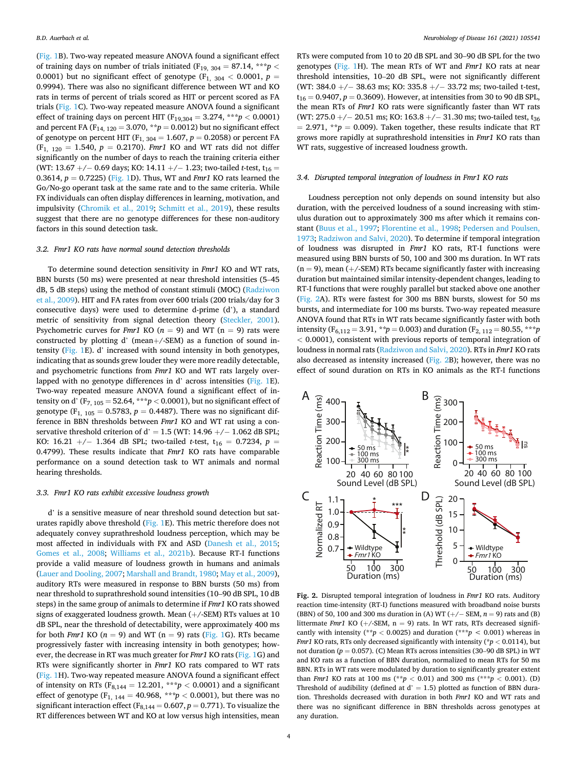<span id="page-3-0"></span>([Fig. 1](#page-2-0)B). Two-way repeated measure ANOVA found a significant effect of training days on number of trials initiated (F<sub>19, 304</sub> = 87.14, \*\*\**p* < 0.0001) but no significant effect of genotype ( $F_{1, 304}$  < 0.0001,  $p =$ 0.9994). There was also no significant difference between WT and KO rats in terms of percent of trials scored as HIT or percent scored as FA trials ([Fig. 1C](#page-2-0)). Two-way repeated measure ANOVA found a significant effect of training days on percent HIT ( $F_{19,304} = 3.274$ , \*\*\**p* < 0.0001) and percent FA (F<sub>14, 120</sub> = 3.070, \*\* $p = 0.0012$ ) but no significant effect of genotype on percent HIT ( $F_{1, 304} = 1.607$ ,  $p = 0.2058$ ) or percent FA  $(F_{1, 120} = 1.540, p = 0.2170)$ . *Fmr1* KO and WT rats did not differ significantly on the number of days to reach the training criteria either (WT: 13.67 +/− 0.69 days; KO: 14.11 +/− 1.23; two-tailed *t*-test, t<sub>16</sub> = 0.3614, *p* = 0.7225) ([Fig. 1D](#page-2-0)). Thus, WT and *Fmr1* KO rats learned the Go/No-go operant task at the same rate and to the same criteria. While FX individuals can often display differences in learning, motivation, and impulsivity [\(Chromik et al., 2019;](#page-9-0) [Schmitt et al., 2019\)](#page-10-0), these results suggest that there are no genotype differences for these non-auditory factors in this sound detection task.

## *3.2. Fmr1 KO rats have normal sound detection thresholds*

To determine sound detection sensitivity in *Fmr1* KO and WT rats, BBN bursts (50 ms) were presented at near threshold intensities (5–45 dB, 5 dB steps) using the method of constant stimuli (MOC) ([Radziwon](#page-9-0)  [et al., 2009](#page-9-0)). HIT and FA rates from over 600 trials (200 trials/day for 3 consecutive days) were used to determine d-prime (d'), a standard metric of sensitivity from signal detection theory ([Steckler, 2001](#page-10-0)). Psychometric curves for *Fmr1* KO ( $n = 9$ ) and WT ( $n = 9$ ) rats were constructed by plotting d' (mean+/-SEM) as a function of sound intensity [\(Fig. 1E](#page-2-0)). d' increased with sound intensity in both genotypes, indicating that as sounds grew louder they were more readily detectable, and psychometric functions from *Fmr1* KO and WT rats largely overlapped with no genotype differences in d' across intensities [\(Fig. 1E](#page-2-0)). Two-way repeated measure ANOVA found a significant effect of intensity on d' (F<sub>7, 105</sub> = 52.64, \*\*\* $p$  < 0.0001), but no significant effect of genotype ( $F_{1, 105} = 0.5783$ ,  $p = 0.4487$ ). There was no significant difference in BBN thresholds between *Fmr1* KO and WT rat using a conservative threshold criterion of d' = 1.5 (WT: 14.96 +/− 1.062 dB SPL; KO: 16.21 +/- 1.364 dB SPL; two-tailed *t*-test, t<sub>16</sub> = 0.7234, *p* = 0.4799). These results indicate that *Fmr1* KO rats have comparable performance on a sound detection task to WT animals and normal hearing thresholds.

## *3.3. Fmr1 KO rats exhibit excessive loudness growth*

d' is a sensitive measure of near threshold sound detection but saturates rapidly above threshold [\(Fig. 1](#page-2-0)E). This metric therefore does not adequately convey suprathreshold loudness perception, which may be most affected in individuals with FX and ASD [\(Danesh et al., 2015](#page-9-0); [Gomes et al., 2008](#page-9-0); [Williams et al., 2021b](#page-10-0)). Because RT-I functions provide a valid measure of loudness growth in humans and animals ([Lauer and Dooling, 2007; Marshall and Brandt, 1980; May et al., 2009](#page-9-0)), auditory RTs were measured in response to BBN bursts (50 ms) from near threshold to suprathreshold sound intensities (10–90 dB SPL, 10 dB steps) in the same group of animals to determine if *Fmr1* KO rats showed signs of exaggerated loudness growth. Mean (+/-SEM) RTs values at 10 dB SPL, near the threshold of detectability, were approximately 400 ms for both *Fmr1* KO ( $n = 9$ ) and WT ( $n = 9$ ) rats ([Fig. 1](#page-2-0)G). RTs became progressively faster with increasing intensity in both genotypes; however, the decrease in RT was much greater for *Fmr1* KO rats [\(Fig. 1](#page-2-0)G) and RTs were significantly shorter in *Fmr1* KO rats compared to WT rats ([Fig. 1](#page-2-0)H). Two-way repeated measure ANOVA found a significant effect of intensity on RTs ( $F_{8,144} = 12.201$ ,  $**p < 0.0001$ ) and a significant effect of genotype  $(F_1, 144 = 40.968, **p < 0.0001)$ , but there was no significant interaction effect ( $F_{8,144} = 0.607$ ,  $p = 0.771$ ). To visualize the RT differences between WT and KO at low versus high intensities, mean

RTs were computed from 10 to 20 dB SPL and 30–90 dB SPL for the two genotypes [\(Fig. 1](#page-2-0)H). The mean RTs of WT and *Fmr1* KO rats at near threshold intensities, 10–20 dB SPL, were not significantly different (WT: 384.0 +/− 38.63 ms; KO: 335.8 +/− 33.72 ms; two-tailed t-test,  $t_{16} = 0.9407$ ,  $p = 0.3609$ ). However, at intensities from 30 to 90 dB SPL, the mean RTs of *Fmr1* KO rats were significantly faster than WT rats (WT: 275.0 +/- 20.51 ms; KO: 163.8 +/- 31.30 ms; two-tailed test, t<sub>36</sub>  $= 2.971$ , \*\* $p = 0.009$ ). Taken together, these results indicate that RT grows more rapidly at suprathreshold intensities in *Fmr1* KO rats than WT rats, suggestive of increased loudness growth.

## *3.4. Disrupted temporal integration of loudness in Fmr1 KO rats*

Loudness perception not only depends on sound intensity but also duration, with the perceived loudness of a sound increasing with stimulus duration out to approximately 300 ms after which it remains constant [\(Buus et al., 1997](#page-9-0); [Florentine et al., 1998](#page-9-0); [Pedersen and Poulsen,](#page-9-0)  [1973; Radziwon and Salvi, 2020\)](#page-9-0). To determine if temporal integration of loudness was disrupted in *Fmr1* KO rats, RT-I functions were measured using BBN bursts of 50, 100 and 300 ms duration. In WT rats  $(n = 9)$ , mean  $(+/-SEM)$  RTs became significantly faster with increasing duration but maintained similar intensity-dependent changes, leading to RT-I functions that were roughly parallel but stacked above one another (Fig. 2A). RTs were fastest for 300 ms BBN bursts, slowest for 50 ms bursts, and intermediate for 100 ms bursts. Two-way repeated measure ANOVA found that RTs in WT rats became significantly faster with both intensity ( $F_{6,112} = 3.91$ ,  $*^*p = 0.003$ ) and duration ( $F_{2,112} = 80.55$ ,  $*^*p = 0.003$ ) *<* 0.0001), consistent with previous reports of temporal integration of loudness in normal rats ([Radziwon and Salvi, 2020](#page-9-0)). RTs in *Fmr1* KO rats also decreased as intensity increased (Fig. 2B); however, there was no effect of sound duration on RTs in KO animals as the RT-I functions



**Fig. 2.** Disrupted temporal integration of loudness in *Fmr1* KO rats. Auditory reaction time-intensity (RT-I) functions measured with broadband noise bursts (BBN) of 50, 100 and 300 ms duration in (A) WT (+/− SEM, *n* = 9) rats and (B) littermate *Fmr1* KO (+/-SEM, n = 9) rats. In WT rats, RTs decreased significantly with intensity (\*\* $p < 0.0025$ ) and duration (\*\*\* $p < 0.001$ ) whereas in *Fmr1* KO rats, RTs only decreased significantly with intensity (\**p <* 0.0114), but not duration ( $p = 0.057$ ). (C) Mean RTs across intensities (30–90 dB SPL) in WT and KO rats as a function of BBN duration, normalized to mean RTs for 50 ms BBN. RTs in WT rats were modulated by duration to significantly greater extent than *Fmr1* KO rats at 100 ms (\*\**p* < 0.01) and 300 ms (\*\*\**p* < 0.001). (D) Threshold of audibility (defined at  $d' = 1.5$ ) plotted as function of BBN duration. Thresholds decreased with duration in both *Fmr1* KO and WT rats and there was no significant difference in BBN thresholds across genotypes at any duration.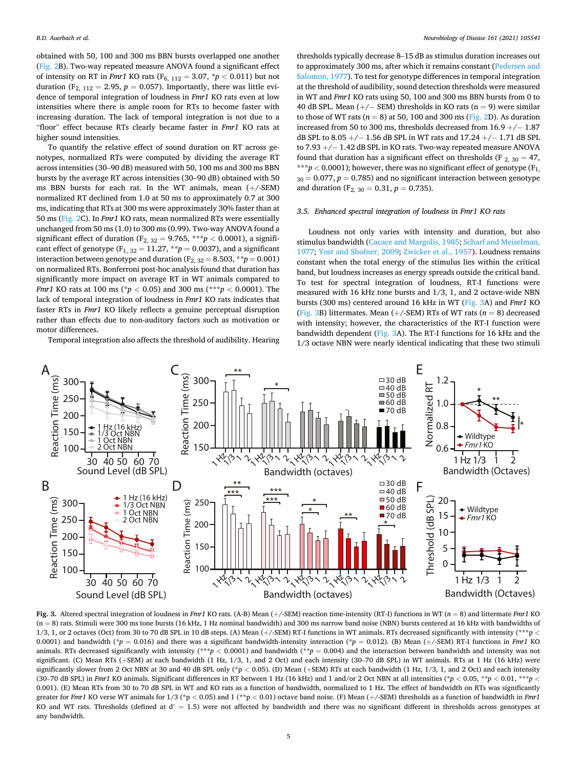<span id="page-4-0"></span>obtained with 50, 100 and 300 ms BBN bursts overlapped one another ([Fig. 2](#page-3-0)B). Two-way repeated measure ANOVA found a significant effect of intensity on RT in *Fmr1* KO rats ( $F_{6, 112} = 3.07$ ,  $p < 0.011$ ) but not duration (F<sub>2, 112</sub> = 2.95,  $p = 0.057$ ). Importantly, there was little evidence of temporal integration of loudness in *Fmr1* KO rats even at low intensities where there is ample room for RTs to become faster with increasing duration. The lack of temporal integration is not due to a "floor" effect because RTs clearly became faster in *Fmr1* KO rats at higher sound intensities.

To quantify the relative effect of sound duration on RT across genotypes, normalized RTs were computed by dividing the average RT across intensities (30–90 dB) measured with 50, 100 ms and 300 ms BBN bursts by the average RT across intensities (30–90 dB) obtained with 50 ms BBN bursts for each rat. In the WT animals, mean (+/-SEM) normalized RT declined from 1.0 at 50 ms to approximately 0.7 at 300 ms, indicating that RTs at 300 ms were approximately 30% faster than at 50 ms ([Fig. 2](#page-3-0)C). In *Fmr1* KO rats, mean normalized RTs were essentially unchanged from 50 ms (1.0) to 300 ms (0.99). Two-way ANOVA found a significant effect of duration ( $F_{2, 32} = 9.765$ , \*\*\* $p < 0.0001$ ), a significant effect of genotype ( $F_{1, 32} = 11.27$ ,  $**p = 0.0037$ ), and a significant interaction between genotype and duration  $(F_{2, 32} = 8.503, **p = 0.001)$ on normalized RTs. Bonferroni post-hoc analysis found that duration has significantly more impact on average RT in WT animals compared to *Fmr1* KO rats at 100 ms (\**p <* 0.05) and 300 ms (\*\*\**p <* 0.0001). The lack of temporal integration of loudness in *Fmr1* KO rats indicates that faster RTs in *Fmr1* KO likely reflects a genuine perceptual disruption rather than effects due to non-auditory factors such as motivation or motor differences.

Temporal integration also affects the threshold of audibility. Hearing

thresholds typically decrease 8–15 dB as stimulus duration increases out to approximately 300 ms, after which it remains constant [\(Pedersen and](#page-9-0)  [Salomon, 1977](#page-9-0)). To test for genotype differences in temporal integration at the threshold of audibility, sound detection thresholds were measured in WT and *Fmr1* KO rats using 50, 100 and 300 ms BBN bursts from 0 to 40 dB SPL. Mean  $(+/-$  SEM) thresholds in KO rats  $(n = 9)$  were similar to those of WT rats  $(n = 8)$  at 50, 100 and 300 ms [\(Fig. 2](#page-3-0)D). As duration increased from 50 to 300 ms, thresholds decreased from  $16.9 + / - 1.87$ dB SPL to 8.05 +/− 1.56 dB SPL in WT rats and 17.24 +/− 1.71 dB SPL to 7.93 +/− 1.42 dB SPL in KO rats. Two-way repeated measure ANOVA found that duration has a significant effect on thresholds (F  $_{2, 30} = 47$ , \*\*\* $p$  < 0.0001); however, there was no significant effect of genotype ( $F_1$ )  $30 = 0.077$ ,  $p = 0.785$ ) and no significant interaction between genotype and duration (F<sub>2, 30</sub> = 0.31,  $p = 0.735$ ).

## *3.5. Enhanced spectral integration of loudness in Fmr1 KO rats*

Loudness not only varies with intensity and duration, but also stimulus bandwidth ([Cacace and Margolis, 1985](#page-9-0); [Scharf and Meiselman,](#page-9-0)  [1977;](#page-9-0) [Yost and Shofner, 2009;](#page-10-0) [Zwicker et al., 1957](#page-10-0)). Loudness remains constant when the total energy of the stimulus lies within the critical band, but loudness increases as energy spreads outside the critical band. To test for spectral integration of loudness, RT-I functions were measured with 16 kHz tone bursts and 1/3, 1, and 2 octave-wide NBN bursts (300 ms) centered around 16 kHz in WT (Fig. 3A) and *Fmr1* KO (Fig. 3B) littermates. Mean  $(+/-SEM)$  RTs of WT rats  $(n = 8)$  decreased with intensity; however, the characteristics of the RT-I function were bandwidth dependent (Fig. 3A). The RT-I functions for 16 kHz and the 1/3 octave NBN were nearly identical indicating that these two stimuli



**Fig. 3.** Altered spectral integration of loudness in *Fmr1* KO rats. (A-B) Mean (+/-SEM) reaction time-intensity (RT-I) functions in WT (*n* = 8) and littermate *Fmr1* KO  $(n = 8)$  rats. Stimuli were 300 ms tone bursts (16 kHz, 1 Hz nominal bandwidth) and 300 ms narrow band noise (NBN) bursts centered at 16 kHz with bandwidths of 1/3, 1, or 2 octaves (Oct) from 30 to 70 dB SPL in 10 dB steps. (A) Mean (+/-SEM) RT-I functions in WT animals. RTs decreased significantly with intensity (\*\*\*p *<* 0.0001) and bandwidth (\* $p = 0.016$ ) and there was a significant bandwidth-intensity interaction (\* $p = 0.012$ ). (B) Mean (+/-SEM) RT-I functions in *Fmr1* KO animals. RTs decreased significantly with intensity (\*\**\*p* < 0.0001) and bandwidth (\*\**p* = 0.004) and the interaction between bandwidth and intensity was not significant. (C) Mean RTs (+SEM) at each bandwidth (1 Hz, 1/3, 1, and 2 Oct) and each intensity (30-70 dB SPL) in WT animals. RTs at 1 Hz (16 kHz) were significantly slower from 2 Oct NBN at 30 and 40 dB SPL only (\*p < 0.05). (D) Mean (+SEM) RTs at each bandwidth (1 Hz, 1/3, 1, and 2 Oct) and each intensity (30–70 dB SPL) in *Fmr1* KO animals. Significant differences in RT between 1 Hz (16 kHz) and 1 and/or 2 Oct NBN at all intensities (\**p* < 0.05, \*\**p* < 0.01, \*\*\**p* < 0.001). (E) Mean RTs from 30 to 70 dB SPL in WT and KO rats as a function of bandwidth, normalized to 1 Hz. The effect of bandwidth on RTs was significantly greater for *Fmr1* KO verse WT animals for 1/3 (\*p < 0.05) and 1 (\*\*p < 0.01) octave band noise. (F) Mean  $(+/5EM)$  thresholds as a function of bandwidth in *Fmr1* KO and WT rats. Thresholds (defined at  $d' = 1.5$ ) were not affected by bandwidth and there was no significant different in thresholds across genotypes at any bandwidth.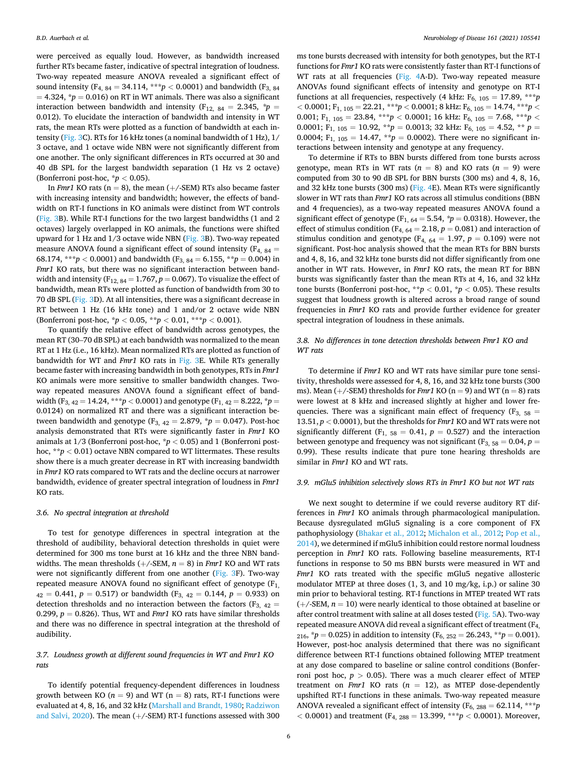were perceived as equally loud. However, as bandwidth increased further RTs became faster, indicative of spectral integration of loudness. Two-way repeated measure ANOVA revealed a significant effect of sound intensity (F<sub>4, 84</sub> = 34.114, \*\*\* $p < 0.0001$ ) and bandwidth (F<sub>3, 84</sub>)  $= 4.324$ ,  $p = 0.016$  on RT in WT animals. There was also a significant interaction between bandwidth and intensity ( $F_{12, 84} = 2.345$ ,  $* p =$ 0.012). To elucidate the interaction of bandwidth and intensity in WT rats, the mean RTs were plotted as a function of bandwidth at each intensity ([Fig. 3](#page-4-0)C). RTs for 16 kHz tones (a nominal bandwidth of 1 Hz), 1/ 3 octave, and 1 octave wide NBN were not significantly different from one another. The only significant differences in RTs occurred at 30 and 40 dB SPL for the largest bandwidth separation (1 Hz vs 2 octave) (Bonferroni post-hoc, \**p <* 0.05).

In *Fmr1* KO rats ( $n = 8$ ), the mean ( $+/-$ SEM) RTs also became faster with increasing intensity and bandwidth; however, the effects of bandwidth on RT-I functions in KO animals were distinct from WT controls ([Fig. 3B](#page-4-0)). While RT-I functions for the two largest bandwidths (1 and 2 octaves) largely overlapped in KO animals, the functions were shifted upward for 1 Hz and 1/3 octave wide NBN [\(Fig. 3B](#page-4-0)). Two-way repeated measure ANOVA found a significant effect of sound intensity ( $F_{4, 84}$  = 68.174, \*\*\**p* < 0.0001) and bandwidth ( $F_{3, 84} = 6.155$ , \*\**p* = 0.004) in *Fmr1* KO rats, but there was no significant interaction between bandwidth and intensity  $(F_{12, 84} = 1.767, p = 0.067)$ . To visualize the effect of bandwidth, mean RTs were plotted as function of bandwidth from 30 to 70 dB SPL [\(Fig. 3D](#page-4-0)). At all intensities, there was a significant decrease in RT between 1 Hz (16 kHz tone) and 1 and/or 2 octave wide NBN (Bonferroni post-hoc, \**p <* 0.05, \*\**p <* 0.01, \*\*\**p <* 0.001).

To quantify the relative effect of bandwidth across genotypes, the mean RT (30–70 dB SPL) at each bandwidth was normalized to the mean RT at 1 Hz (i.e., 16 kHz). Mean normalized RTs are plotted as function of bandwidth for WT and *Fmr1* KO rats in [Fig. 3E](#page-4-0). While RTs generally became faster with increasing bandwidth in both genotypes, RTs in *Fmr1*  KO animals were more sensitive to smaller bandwidth changes. Twoway repeated measures ANOVA found a significant effect of bandwidth (F<sub>3, 42</sub> = 14.24, \*\*\**p* < 0.0001) and genotype (F<sub>1, 42</sub> = 8.222, \**p* = 0.0124) on normalized RT and there was a significant interaction between bandwidth and genotype  $(F_{3, 42} = 2.879, *p = 0.047)$ . Post-hoc analysis demonstrated that RTs were significantly faster in *Fmr1* KO animals at 1/3 (Bonferroni post-hoc, \**p <* 0.05) and 1 (Bonferroni posthoc, \*\**p <* 0.01) octave NBN compared to WT littermates. These results show there is a much greater decrease in RT with increasing bandwidth in *Fmr1* KO rats compared to WT rats and the decline occurs at narrower bandwidth, evidence of greater spectral integration of loudness in *Fmr1*  KO rats.

#### *3.6. No spectral integration at threshold*

To test for genotype differences in spectral integration at the threshold of audibility, behavioral detection thresholds in quiet were determined for 300 ms tone burst at 16 kHz and the three NBN bandwidths. The mean thresholds  $(+/-SEM, n = 8)$  in *Fmr1* KO and WT rats were not significantly different from one another ([Fig. 3](#page-4-0)F). Two-way repeated measure ANOVA found no significant effect of genotype  $(F_1)$ ,  $A_2 = 0.441$ ,  $p = 0.517$ ) or bandwidth (F<sub>3, 42</sub> = 0.144,  $p = 0.933$ ) on detection thresholds and no interaction between the factors ( $F_{3, 42}$  = 0.299,  $p = 0.826$ ). Thus, WT and *Fmr1* KO rats have similar thresholds and there was no difference in spectral integration at the threshold of audibility.

# *3.7. Loudness growth at different sound frequencies in WT and Fmr1 KO rats*

To identify potential frequency-dependent differences in loudness growth between KO ( $n = 9$ ) and WT ( $n = 8$ ) rats, RT-I functions were evaluated at 4, 8, 16, and 32 kHz ([Marshall and Brandt, 1980; Radziwon](#page-9-0)  [and Salvi, 2020\)](#page-9-0). The mean (+/-SEM) RT-I functions assessed with 300 ms tone bursts decreased with intensity for both genotypes, but the RT-I functions for *Fmr1* KO rats were consistently faster than RT-I functions of WT rats at all frequencies ([Fig. 4A](#page-6-0)-D). Two-way repeated measure ANOVAs found significant effects of intensity and genotype on RT-I functions at all frequencies, respectively (4 kHz:  $F_{6, 105} = 17.89$ , \*\*\**p*  $<$  0.0001; F<sub>1, 105</sub> = 22.21, \*\*\* $p$   $<$  0.0001; 8 kHz: F<sub>6, 105</sub> = 14.74, \*\*\* $p$   $<$ 0.001; F<sub>1, 105</sub> = 23.84, \*\*\* $p < 0.0001$ ; 16 kHz: F<sub>6, 105</sub> = 7.68, \*\*\* $p <$ 0.0001; F<sub>1, 105</sub> = 10.92, \*\* $p = 0.0013$ ; 32 kHz: F<sub>6, 105</sub> = 4.52, \*\*  $p =$ 0.0004;  $F_{1, 105} = 14.47$ ,  $*^{*}p = 0.0002$ ). There were no significant interactions between intensity and genotype at any frequency.

To determine if RTs to BBN bursts differed from tone bursts across genotype, mean RTs in WT rats  $(n = 8)$  and KO rats  $(n = 9)$  were computed from 30 to 90 dB SPL for BBN bursts (300 ms) and 4, 8, 16, and 32 kHz tone bursts (300 ms) [\(Fig. 4](#page-6-0)E). Mean RTs were significantly slower in WT rats than *Fmr1* KO rats across all stimulus conditions (BBN and 4 frequencies), as a two-way repeated measures ANOVA found a significant effect of genotype ( $F_{1, 64} = 5.54$ ,  $p = 0.0318$ ). However, the effect of stimulus condition ( $F_{4, 64} = 2.18$ ,  $p = 0.081$ ) and interaction of stimulus condition and genotype ( $F_{4, 64} = 1.97$ ,  $p = 0.109$ ) were not significant. Post-hoc analysis showed that the mean RTs for BBN bursts and 4, 8, 16, and 32 kHz tone bursts did not differ significantly from one another in WT rats. However, in *Fmr1* KO rats, the mean RT for BBN bursts was significantly faster than the mean RTs at 4, 16, and 32 kHz tone bursts (Bonferroni post-hoc,  $*p < 0.01$ ,  $*p < 0.05$ ). These results suggest that loudness growth is altered across a broad range of sound frequencies in *Fmr1* KO rats and provide further evidence for greater spectral integration of loudness in these animals.

# *3.8. No differences in tone detection thresholds between Fmr1 KO and WT rats*

To determine if *Fmr1* KO and WT rats have similar pure tone sensitivity, thresholds were assessed for 4, 8, 16, and 32 kHz tone bursts (300 ms). Mean  $(+/-SEM)$  thresholds for *Fmr1* KO (n = 9) and WT (n = 8) rats were lowest at 8 kHz and increased slightly at higher and lower frequencies. There was a significant main effect of frequency ( $F_{3, 58}$  = 13.51, *p <* 0.0001), but the thresholds for *Fmr1* KO and WT rats were not significantly different  $(F_{1, 58} = 0.41, p = 0.527)$  and the interaction between genotype and frequency was not significant ( $F_{3, 58} = 0.04$ ,  $p =$ 0.99). These results indicate that pure tone hearing thresholds are similar in *Fmr1* KO and WT rats.

#### *3.9. mGlu5 inhibition selectively slows RTs in Fmr1 KO but not WT rats*

We next sought to determine if we could reverse auditory RT differences in *Fmr1* KO animals through pharmacological manipulation. Because dysregulated mGlu5 signaling is a core component of FX pathophysiology [\(Bhakar et al., 2012; Michalon et al., 2012; Pop et al.,](#page-9-0)  [2014\)](#page-9-0), we determined if mGlu5 inhibition could restore normal loudness perception in *Fmr1* KO rats. Following baseline measurements, RT-I functions in response to 50 ms BBN bursts were measured in WT and *Fmr1* KO rats treated with the specific mGlu5 negative allosteric modulator MTEP at three doses (1, 3, and 10 mg/kg, i.p.) or saline 30 min prior to behavioral testing. RT-I functions in MTEP treated WT rats  $(+/-SEM, n = 10)$  were nearly identical to those obtained at baseline or after control treatment with saline at all doses tested [\(Fig. 5A](#page-7-0)). Two-way repeated measure ANOVA did reveal a significant effect of treatment  $(F_{4,})$  $216$ ,  $p = 0.025$ ) in addition to intensity ( $F_{6, 252} = 26.243$ ,  $p = 0.001$ ). However, post-hoc analysis determined that there was no significant difference between RT-I functions obtained following MTEP treatment at any dose compared to baseline or saline control conditions (Bonferroni post hoc,  $p > 0.05$ ). There was a much clearer effect of MTEP treatment on *Fmr1* KO rats  $(n = 12)$ , as MTEP dose-dependently upshifted RT-I functions in these animals. Two-way repeated measure ANOVA revealed a significant effect of intensity ( $F_{6, 288} = 62.114$ , \*\*\**p <* 0.0001) and treatment (F4, 288 = 13.399, \*\*\**p <* 0.0001). Moreover,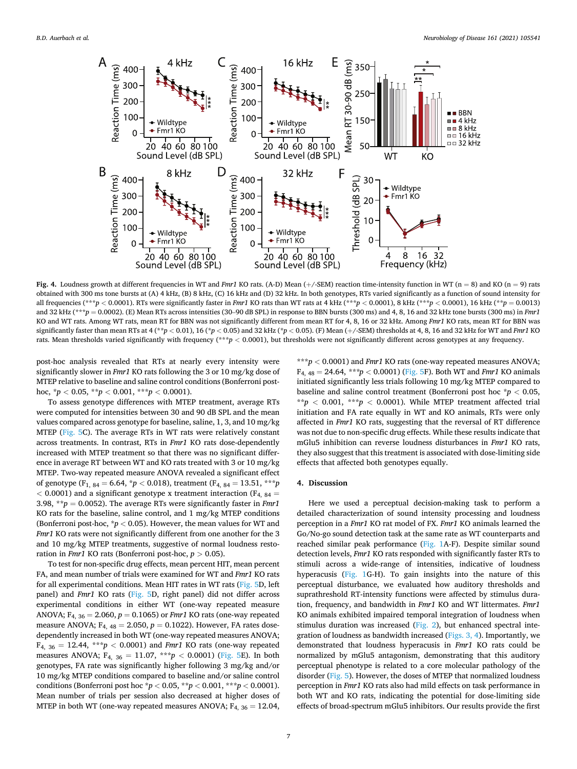<span id="page-6-0"></span>

Fig. 4. Loudness growth at different frequencies in WT and *Fmr1* KO rats. (A-D) Mean (+/-SEM) reaction time-intensity function in WT (n = 8) and KO (n = 9) rats obtained with 300 ms tone bursts at (A) 4 kHz, (B) 8 kHz, (C) 16 kHz and (D) 32 kHz. In both genotypes, RTs varied significantly as a function of sound intensity for all frequencies (\*\*\**p* < 0.0001). RTs were significantly faster in *Fmr1* KO rats than WT rats at 4 kHz (\*\*\**p* < 0.0001), 8 kHz (\*\*\**p* < 0.0001), 16 kHz (\*\**p* = 0.0013) and 32 kHz (\*\*\**p* = 0.0002). (E) Mean RTs across intensities (30-90 dB SPL) in response to BBN bursts (300 ms) and 4, 8, 16 and 32 kHz tone bursts (300 ms) in *Fmr1* KO and WT rats. Among WT rats, mean RT for BBN was not significantly different from mean RT for 4, 8, 16 or 32 kHz. Among *Fmr1* KO rats, mean RT for BBN was significantly faster than mean RTs at 4 (\*\**p <* 0.01), 16 (\**p <* 0.05) and 32 kHz (\**p <* 0.05). (F) Mean (+/-SEM) thresholds at 4, 8, 16 and 32 kHz for WT and *Fmr1* KO rats. Mean thresholds varied significantly with frequency (\*\*\**p <* 0.0001), but thresholds were not significantly different across genotypes at any frequency.

post-hoc analysis revealed that RTs at nearly every intensity were significantly slower in *Fmr1* KO rats following the 3 or 10 mg/kg dose of MTEP relative to baseline and saline control conditions (Bonferroni posthoc,  ${}^{\ast}p$  < 0.05,  ${}^{\ast}{}^{\ast}p$  < 0.001,  ${}^{\ast}{}^{\ast}{}^{\ast}p$  < 0.0001).

To assess genotype differences with MTEP treatment, average RTs were computed for intensities between 30 and 90 dB SPL and the mean values compared across genotype for baseline, saline, 1, 3, and 10 mg/kg MTEP ([Fig. 5](#page-7-0)C). The average RTs in WT rats were relatively constant across treatments. In contrast, RTs in *Fmr1* KO rats dose-dependently increased with MTEP treatment so that there was no significant difference in average RT between WT and KO rats treated with 3 or 10 mg/kg MTEP. Two-way repeated measure ANOVA revealed a significant effect of genotype (F1, 84 = 6.64, \**p <* 0.018), treatment (F4, 84 = 13.51, \*\*\**p*   $<$  0.0001) and a significant genotype x treatment interaction ( $F_{4, 84}$  = 3.98, \*\**p* = 0.0052). The average RTs were significantly faster in *Fmr1*  KO rats for the baseline, saline control, and 1 mg/kg MTEP conditions (Bonferroni post-hoc, \**p <* 0.05). However, the mean values for WT and *Fmr1* KO rats were not significantly different from one another for the 3 and 10 mg/kg MTEP treatments, suggestive of normal loudness restoration in *Fmr1* KO rats (Bonferroni post-hoc, *p >* 0.05).

To test for non-specific drug effects, mean percent HIT, mean percent FA, and mean number of trials were examined for WT and *Fmr1* KO rats for all experimental conditions. Mean HIT rates in WT rats [\(Fig. 5](#page-7-0)D, left panel) and *Fmr1* KO rats [\(Fig. 5D](#page-7-0), right panel) did not differ across experimental conditions in either WT (one-way repeated measure ANOVA; F4, 36 = 2.060, *p* = 0.1065) or *Fmr1* KO rats (one-way repeated measure ANOVA;  $F_{4, 48} = 2.050$ ,  $p = 0.1022$ ). However, FA rates dosedependently increased in both WT (one-way repeated measures ANOVA;  $F_{4, 36} = 12.44$ , \*\*\**p* < 0.0001) and *Fmr1* KO rats (one-way repeated measures ANOVA;  $F_{4, 36} = 11.07$ , \*\*\* $p < 0.0001$ ) ([Fig. 5E](#page-7-0)). In both genotypes, FA rate was significantly higher following 3 mg/kg and/or 10 mg/kg MTEP conditions compared to baseline and/or saline control conditions (Bonferroni post hoc \**p <* 0.05, \*\**p <* 0.001, \*\*\**p <* 0.0001). Mean number of trials per session also decreased at higher doses of MTEP in both WT (one-way repeated measures ANOVA;  $F_{4, 36} = 12.04$ ,

\*\*\**p <* 0.0001) and *Fmr1* KO rats (one-way repeated measures ANOVA;  $F_{4, 48} = 24.64$ , \*\*\*p < 0.0001) [\(Fig. 5](#page-7-0)F). Both WT and *Fmr1* KO animals initiated significantly less trials following 10 mg/kg MTEP compared to baseline and saline control treatment (Bonferroni post hoc \**p <* 0.05, \*\* $p < 0.001$ , \*\*\* $p < 0.0001$ ). While MTEP treatment affected trial initiation and FA rate equally in WT and KO animals, RTs were only affected in *Fmr1* KO rats, suggesting that the reversal of RT difference was not due to non-specific drug effects. While these results indicate that mGlu5 inhibition can reverse loudness disturbances in *Fmr1* KO rats, they also suggest that this treatment is associated with dose-limiting side effects that affected both genotypes equally.

#### **4. Discussion**

Here we used a perceptual decision-making task to perform a detailed characterization of sound intensity processing and loudness perception in a *Fmr1* KO rat model of FX. *Fmr1* KO animals learned the Go/No-go sound detection task at the same rate as WT counterparts and reached similar peak performance ([Fig. 1](#page-2-0)A-F). Despite similar sound detection levels, *Fmr1* KO rats responded with significantly faster RTs to stimuli across a wide-range of intensities, indicative of loudness hyperacusis [\(Fig. 1G](#page-2-0)-H). To gain insights into the nature of this perceptual disturbance, we evaluated how auditory thresholds and suprathreshold RT-intensity functions were affected by stimulus duration, frequency, and bandwidth in *Fmr1* KO and WT littermates. *Fmr1*  KO animals exhibited impaired temporal integration of loudness when stimulus duration was increased [\(Fig. 2](#page-3-0)), but enhanced spectral integration of loudness as bandwidth increased ([Figs. 3, 4](#page-4-0)). Importantly, we demonstrated that loudness hyperacusis in *Fmr1* KO rats could be normalized by mGlu5 antagonism, demonstrating that this auditory perceptual phenotype is related to a core molecular pathology of the disorder ([Fig. 5](#page-7-0)). However, the doses of MTEP that normalized loudness perception in *Fmr1* KO rats also had mild effects on task performance in both WT and KO rats, indicating the potential for dose-limiting side effects of broad-spectrum mGlu5 inhibitors. Our results provide the first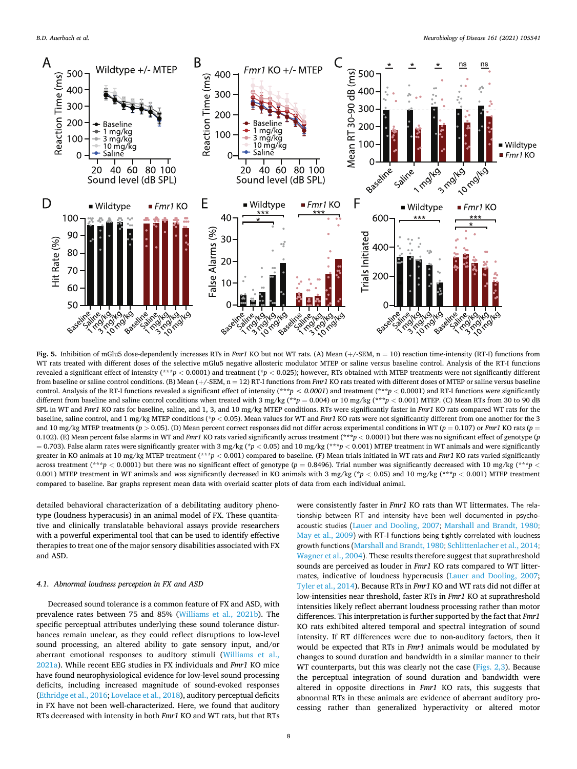<span id="page-7-0"></span>

Fig. 5. Inhibition of mGlu5 dose-dependently increases RTs in *Fmr1* KO but not WT rats. (A) Mean (+/-SEM, n = 10) reaction time-intensity (RT-I) functions from WT rats treated with different doses of the selective mGlu5 negative allosteric modulator MTEP or saline versus baseline control. Analysis of the RT-I functions revealed a significant effect of intensity (\*\*\**p <* 0.0001) and treatment (\**p <* 0.025); however, RTs obtained with MTEP treatments were not significantly different from baseline or saline control conditions. (B) Mean (+/-SEM, n = 12) RT-I functions from *Fmr1* KO rats treated with different doses of MTEP or saline versus baseline control. Analysis of the RT-I functions revealed a significant effect of intensity (\*\*\**p < 0.0001*) and treatment (\*\*\**p <* 0.0001) and RT-I functions were significantly different from baseline and saline control conditions when treated with  $3 \text{ mg/kg}$  (\*\* $p = 0.004$ ) or  $10 \text{ mg/kg}$  (\*\*\* $p < 0.001$ ) MTEP. (C) Mean RTs from 30 to 90 dB SPL in WT and *Fmr1* KO rats for baseline, saline, and 1, 3, and 10 mg/kg MTEP conditions. RTs were significantly faster in *Fmr1* KO rats compared WT rats for the baseline, saline control, and 1 mg/kg MTEP conditions (\**p <* 0.05). Mean values for WT and *Fmr1* KO rats were not significantly different from one another for the 3 and 10 mg/kg MTEP treatments (*p >* 0.05). (D) Mean percent correct responses did not differ across experimental conditions in WT (*p* = 0.107) or *Fmr1* KO rats (*p* = 0.102). (E) Mean percent false alarms in WT and *Fmr1* KO rats varied significantly across treatment (\*\*\**p <* 0.0001) but there was no significant effect of genotype (*p*  = 0.703). False alarm rates were significantly greater with 3 mg/kg (\**p <* 0.05) and 10 mg/kg (\*\*\**p <* 0.001) MTEP treatment in WT animals and were significantly greater in KO animals at 10 mg/kg MTEP treatment (\*\*\**p <* 0.001) compared to baseline. (F) Mean trials initiated in WT rats and *Fmr1* KO rats varied significantly across treatment (\*\*\**p <* 0.0001) but there was no significant effect of genotype (*p* = 0.8496). Trial number was significantly decreased with 10 mg/kg (\*\*\**p <* 0.001) MTEP treatment in WT animals and was significantly decreased in KO animals with 3 mg/kg (\**p <* 0.05) and 10 mg/kg (\*\*\**p <* 0.001) MTEP treatment compared to baseline. Bar graphs represent mean data with overlaid scatter plots of data from each individual animal.

detailed behavioral characterization of a debilitating auditory phenotype (loudness hyperacusis) in an animal model of FX. These quantitative and clinically translatable behavioral assays provide researchers with a powerful experimental tool that can be used to identify effective therapies to treat one of the major sensory disabilities associated with FX and ASD.

## *4.1. Abnormal loudness perception in FX and ASD*

Decreased sound tolerance is a common feature of FX and ASD, with prevalence rates between 75 and 85% ([Williams et al., 2021b\)](#page-10-0). The specific perceptual attributes underlying these sound tolerance disturbances remain unclear, as they could reflect disruptions to low-level sound processing, an altered ability to gate sensory input, and/or aberrant emotional responses to auditory stimuli [\(Williams et al.,](#page-10-0)  [2021a\)](#page-10-0). While recent EEG studies in FX individuals and *Fmr1* KO mice have found neurophysiological evidence for low-level sound processing deficits, including increased magnitude of sound-evoked responses ([Ethridge et al., 2016](#page-9-0); [Lovelace et al., 2018\)](#page-9-0), auditory perceptual deficits in FX have not been well-characterized. Here, we found that auditory RTs decreased with intensity in both *Fmr1* KO and WT rats, but that RTs were consistently faster in *Fmr1* KO rats than WT littermates. The relationship between RT and intensity have been well documented in psychoacoustic studies ([Lauer and Dooling, 2007](#page-9-0); [Marshall and Brandt, 1980](#page-9-0); [May et al., 2009](#page-9-0)) with RT-I functions being tightly correlated with loudness growth functions ([Marshall and Brandt, 1980](#page-9-0); [Schlittenlacher et al., 2014](#page-10-0); [Wagner et al., 2004](#page-10-0)). These results therefore suggest that suprathreshold sounds are perceived as louder in *Fmr1* KO rats compared to WT littermates, indicative of loudness hyperacusis ([Lauer and Dooling, 2007](#page-9-0); [Tyler et al., 2014](#page-10-0)). Because RTs in *Fmr1* KO and WT rats did not differ at low-intensities near threshold, faster RTs in *Fmr1* KO at suprathreshold intensities likely reflect aberrant loudness processing rather than motor differences. This interpretation is further supported by the fact that *Fmr1*  KO rats exhibited altered temporal and spectral integration of sound intensity. If RT differences were due to non-auditory factors, then it would be expected that RTs in *Fmr1* animals would be modulated by changes to sound duration and bandwidth in a similar manner to their WT counterparts, but this was clearly not the case ([Figs. 2,3\)](#page-3-0). Because the perceptual integration of sound duration and bandwidth were altered in opposite directions in *Fmr1* KO rats, this suggests that abnormal RTs in these animals are evidence of aberrant auditory processing rather than generalized hyperactivity or altered motor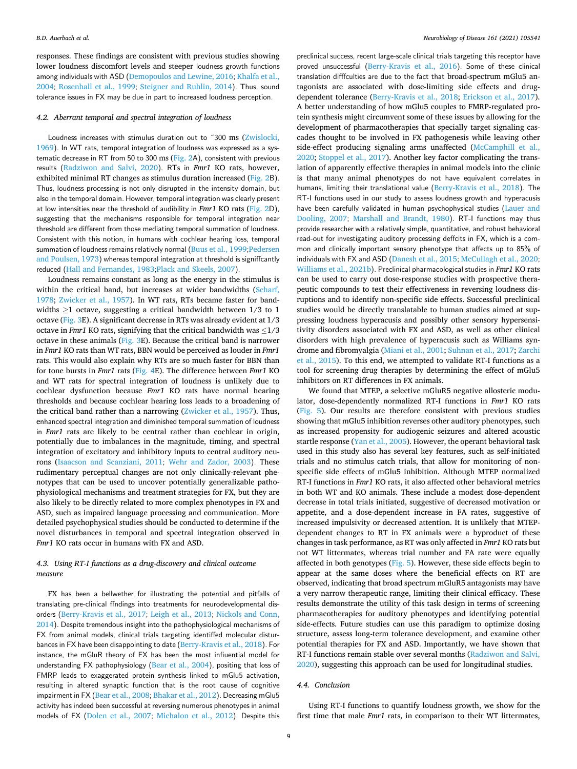responses. These findings are consistent with previous studies showing lower loudness discomfort levels and steeper loudness growth functions among individuals with ASD ([Demopoulos and Lewine, 2016](#page-9-0); [Khalfa et al.,](#page-9-0)  [2004](#page-9-0); [Rosenhall et al., 1999](#page-9-0); [Steigner and Ruhlin, 2014](#page-10-0)). Thus, sound tolerance issues in FX may be due in part to increased loudness perception.

#### *4.2. Aberrant temporal and spectral integration of loudness*

Loudness increases with stimulus duration out to ~300 ms (Zwislocki, [1969](#page-10-0)). In WT rats, temporal integration of loudness was expressed as a sys-tematic decrease in RT from 50 to 300 ms [\(Fig. 2](#page-3-0)A), consistent with previous results ([Radziwon and Salvi, 2020](#page-9-0)). RTs in *Fmr1* KO rats, however, exhibited minimal RT changes as stimulus duration increased [\(Fig. 2](#page-3-0)B). Thus, loudness processing is not only disrupted in the intensity domain, but also in the temporal domain. However, temporal integration was clearly present at low intensities near the threshold of audibility in *Fmr1* KO rats ([Fig. 2](#page-3-0)D), suggesting that the mechanisms responsible for temporal integration near threshold are different from those mediating temporal summation of loudness. Consistent with this notion, in humans with cochlear hearing loss, temporal summation of loudness remains relatively normal ([Buus et al., 1999](#page-9-0);Pedersen [and Poulsen, 1973](#page-9-0)) whereas temporal integration at threshold is significantly reduced ([Hall and Fernandes, 1983](#page-9-0);[Plack and Skeels, 2007](#page-9-0)).

Loudness remains constant as long as the energy in the stimulus is within the critical band, but increases at wider bandwidths (Scharf, [1978;](#page-9-0) [Zwicker et al., 1957](#page-10-0)). In WT rats, RTs became faster for bandwidths ≥1 octave, suggesting a critical bandwidth between 1/3 to 1 octave [\(Fig. 3](#page-4-0)E). A significant decrease in RTs was already evident at 1/3 octave in *Fmr1* KO rats, signifying that the critical bandwidth was ≤1/3 octave in these animals [\(Fig. 3](#page-4-0)E). Because the critical band is narrower in *Fmr1* KO rats than WT rats, BBN would be perceived as louder in *Fmr1*  rats. This would also explain why RTs are so much faster for BBN than for tone bursts in *Fmr1* rats ([Fig. 4E](#page-6-0)). The difference between *Fmr1* KO and WT rats for spectral integration of loudness is unlikely due to cochlear dysfunction because *Fmr1* KO rats have normal hearing thresholds and because cochlear hearing loss leads to a broadening of the critical band rather than a narrowing [\(Zwicker et al., 1957\)](#page-10-0). Thus, enhanced spectral integration and diminished temporal summation of loudness in *Fmr1* rats are likely to be central rather than cochlear in origin, potentially due to imbalances in the magnitude, timing, and spectral integration of excitatory and inhibitory inputs to central auditory neurons ([Isaacson and Scanziani, 2011](#page-9-0); [Wehr and Zador, 2003](#page-10-0)). These rudimentary perceptual changes are not only clinically-relevant phenotypes that can be used to uncover potentially generalizable pathophysiological mechanisms and treatment strategies for FX, but they are also likely to be directly related to more complex phenotypes in FX and ASD, such as impaired language processing and communication. More detailed psychophysical studies should be conducted to determine if the novel disturbances in temporal and spectral integration observed in *Fmr1* KO rats occur in humans with FX and ASD.

# *4.3. Using RT-I functions as a drug-discovery and clinical outcome measure*

FX has been a bellwether for illustrating the potential and pitfalls of translating pre-clinical findings into treatments for neurodevelopmental disorders ([Berry-Kravis et al., 2017](#page-9-0); [Leigh et al., 2013](#page-9-0); [Nickols and Conn,](#page-9-0)  [2014](#page-9-0)). Despite tremendous insight into the pathophysiological mechanisms of FX from animal models, clinical trials targeting identified molecular disturbances in FX have been disappointing to date ([Berry-Kravis et al., 2018](#page-9-0)). For instance, the mGluR theory of FX has been the most influential model for understanding FX pathophysiology ([Bear et al., 2004](#page-9-0)), positing that loss of FMRP leads to exaggerated protein synthesis linked to mGlu5 activation, resulting in altered synaptic function that is the root cause of cognitive impairment in FX ([Bear et al., 2008](#page-9-0); [Bhakar et al., 2012](#page-9-0)). Decreasing mGlu5 activity has indeed been successful at reversing numerous phenotypes in animal models of FX ([Dolen et al., 2007](#page-9-0); [Michalon et al., 2012](#page-9-0)). Despite this

preclinical success, recent large-scale clinical trials targeting this receptor have proved unsuccessful ([Berry-Kravis et al., 2016](#page-9-0)). Some of these clinical translation difficulties are due to the fact that broad-spectrum mGlu5 antagonists are associated with dose-limiting side effects and drugdependent tolerance ([Berry-Kravis et al., 2018;](#page-9-0) [Erickson et al., 2017](#page-9-0)). A better understanding of how mGlu5 couples to FMRP-regulated protein synthesis might circumvent some of these issues by allowing for the development of pharmacotherapies that specially target signaling cascades thought to be involved in FX pathogenesis while leaving other side-effect producing signaling arms unaffected ([McCamphill et al.,](#page-9-0)  [2020;](#page-9-0) [Stoppel et al., 2017\)](#page-10-0). Another key factor complicating the translation of apparently effective therapies in animal models into the clinic is that many animal phenotypes do not have equivalent correlates in humans, limiting their translational value ([Berry-Kravis et al., 2018](#page-9-0)). The RT-I functions used in our study to assess loudness growth and hyperacusis have been carefully validated in human psychophysical studies (Lauer and [Dooling, 2007](#page-9-0); [Marshall and Brandt, 1980](#page-9-0)). RT-I functions may thus provide researcher with a relatively simple, quantitative, and robust behavioral read-out for investigating auditory processing deficits in FX, which is a common and clinically important sensory phenotype that affects up to 85% of individuals with FX and ASD ([Danesh et al., 2015](#page-9-0); [McCullagh et al., 2020](#page-9-0); [Williams et al., 2021b](#page-10-0)). Preclinical pharmacological studies in *Fmr1* KO rats can be used to carry out dose-response studies with prospective therapeutic compounds to test their effectiveness in reversing loudness disruptions and to identify non-specific side effects. Successful preclinical studies would be directly translatable to human studies aimed at suppressing loudness hyperacusis and possibly other sensory hypersensitivity disorders associated with FX and ASD, as well as other clinical disorders with high prevalence of hyperacusis such as Williams syndrome and fibromyalgia ([Miani et al., 2001;](#page-9-0) [Suhnan et al., 2017; Zarchi](#page-10-0)  [et al., 2015](#page-10-0)). To this end, we attempted to validate RT-I functions as a tool for screening drug therapies by determining the effect of mGlu5 inhibitors on RT differences in FX animals.

We found that MTEP, a selective mGluR5 negative allosteric modulator, dose-dependently normalized RT-I functions in *Fmr1* KO rats ([Fig. 5\)](#page-7-0). Our results are therefore consistent with previous studies showing that mGlu5 inhibition reverses other auditory phenotypes, such as increased propensity for audiogenic seizures and altered acoustic startle response ([Yan et al., 2005\)](#page-10-0). However, the operant behavioral task used in this study also has several key features, such as self-initiated trials and no stimulus catch trials, that allow for monitoring of nonspecific side effects of mGlu5 inhibition. Although MTEP normalized RT-I functions in *Fmr1* KO rats, it also affected other behavioral metrics in both WT and KO animals. These include a modest dose-dependent decrease in total trials initiated, suggestive of decreased motivation or appetite, and a dose-dependent increase in FA rates, suggestive of increased impulsivity or decreased attention. It is unlikely that MTEPdependent changes to RT in FX animals were a byproduct of these changes in task performance, as RT was only affected in *Fmr1* KO rats but not WT littermates, whereas trial number and FA rate were equally affected in both genotypes ([Fig. 5](#page-7-0)). However, these side effects begin to appear at the same doses where the beneficial effects on RT are observed, indicating that broad spectrum mGluR5 antagonists may have a very narrow therapeutic range, limiting their clinical efficacy. These results demonstrate the utility of this task design in terms of screening pharmacotherapies for auditory phenotypes and identifying potential side-effects. Future studies can use this paradigm to optimize dosing structure, assess long-term tolerance development, and examine other potential therapies for FX and ASD. Importantly, we have shown that RT-I functions remain stable over several months ([Radziwon and Salvi,](#page-9-0)  [2020\)](#page-9-0), suggesting this approach can be used for longitudinal studies.

# *4.4. Conclusion*

Using RT-I functions to quantify loudness growth, we show for the first time that male *Fmr1* rats, in comparison to their WT littermates,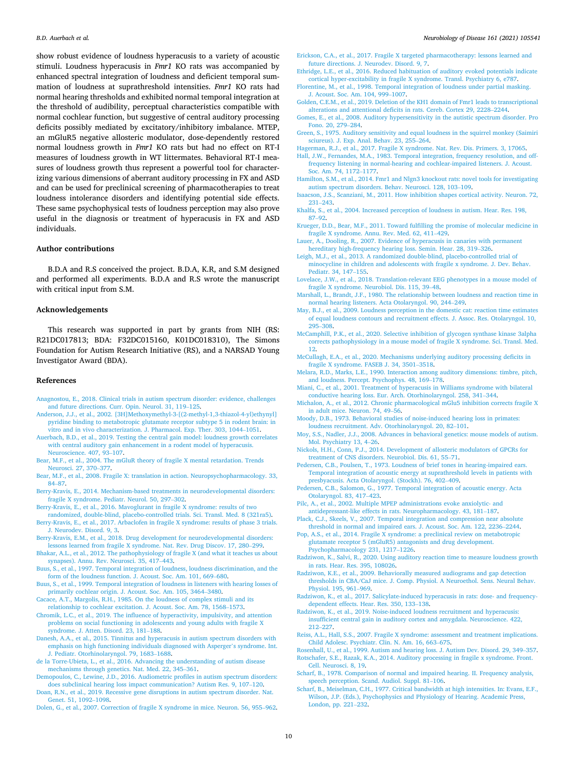<span id="page-9-0"></span>show robust evidence of loudness hyperacusis to a variety of acoustic stimuli. Loudness hyperacusis in *Fmr1* KO rats was accompanied by enhanced spectral integration of loudness and deficient temporal summation of loudness at suprathreshold intensities. *Fmr1* KO rats had normal hearing thresholds and exhibited normal temporal integration at the threshold of audibility, perceptual characteristics compatible with normal cochlear function, but suggestive of central auditory processing deficits possibly mediated by excitatory/inhibitory imbalance. MTEP, an mGluR5 negative allosteric modulator, dose-dependently restored normal loudness growth in *Fmr1* KO rats but had no effect on RT-I measures of loudness growth in WT littermates. Behavioral RT-I measures of loudness growth thus represent a powerful tool for characterizing various dimensions of aberrant auditory processing in FX and ASD and can be used for preclinical screening of pharmacotherapies to treat loudness intolerance disorders and identifying potential side effects. These same psychophysical tests of loudness perception may also prove useful in the diagnosis or treatment of hyperacusis in FX and ASD individuals.

## **Author contributions**

B.D.A and R.S conceived the project. B.D.A, K.R, and S.M designed and performed all experiments. B.D.A and R.S wrote the manuscript with critical input from S.M.

## **Acknowledgements**

This research was supported in part by grants from NIH (RS: R21DC017813; BDA: F32DC015160, K01DC018310), The Simons Foundation for Autism Research Initiative (RS), and a NARSAD Young Investigator Award (BDA).

#### **References**

- [Anagnostou, E., 2018. Clinical trials in autism spectrum disorder: evidence, challenges](http://refhub.elsevier.com/S0969-9961(21)00290-4/rf0005)  [and future directions. Curr. Opin. Neurol. 31, 119](http://refhub.elsevier.com/S0969-9961(21)00290-4/rf0005)–125.
- [Anderson, J.J., et al., 2002. \[3H\]Methoxymethyl-3-\[\(2-methyl-1,3-thiazol-4-yl\)ethynyl\]](http://refhub.elsevier.com/S0969-9961(21)00290-4/rf0010) [pyridine binding to metabotropic glutamate receptor subtype 5 in rodent brain: in](http://refhub.elsevier.com/S0969-9961(21)00290-4/rf0010)  [vitro and in vivo characterization. J. Pharmacol. Exp. Ther. 303, 1044](http://refhub.elsevier.com/S0969-9961(21)00290-4/rf0010)–1051.
- [Auerbach, B.D., et al., 2019. Testing the central gain model: loudness growth correlates](http://refhub.elsevier.com/S0969-9961(21)00290-4/rf0015)  [with central auditory gain enhancement in a rodent model of hyperacusis.](http://refhub.elsevier.com/S0969-9961(21)00290-4/rf0015)  [Neuroscience. 407, 93](http://refhub.elsevier.com/S0969-9961(21)00290-4/rf0015)–107.
- [Bear, M.F., et al., 2004. The mGluR theory of fragile X mental retardation. Trends](http://refhub.elsevier.com/S0969-9961(21)00290-4/rf0020) [Neurosci. 27, 370](http://refhub.elsevier.com/S0969-9961(21)00290-4/rf0020)–377.
- [Bear, M.F., et al., 2008. Fragile X: translation in action. Neuropsychopharmacology. 33,](http://refhub.elsevier.com/S0969-9961(21)00290-4/rf0025)  84–[87](http://refhub.elsevier.com/S0969-9961(21)00290-4/rf0025).
- [Berry-Kravis, E., 2014. Mechanism-based treatments in neurodevelopmental disorders:](http://refhub.elsevier.com/S0969-9961(21)00290-4/rf0030) [fragile X syndrome. Pediatr. Neurol. 50, 297](http://refhub.elsevier.com/S0969-9961(21)00290-4/rf0030)–302.
- [Berry-Kravis, E., et al., 2016. Mavoglurant in fragile X syndrome: results of two](http://refhub.elsevier.com/S0969-9961(21)00290-4/rf0035)
- [randomized, double-blind, placebo-controlled trials. Sci. Transl. Med. 8 \(321ra5\)](http://refhub.elsevier.com/S0969-9961(21)00290-4/rf0035). [Berry-Kravis, E., et al., 2017. Arbaclofen in fragile X syndrome: results of phase 3 trials.](http://refhub.elsevier.com/S0969-9961(21)00290-4/rf0040)  [J. Neurodev. Disord. 9, 3](http://refhub.elsevier.com/S0969-9961(21)00290-4/rf0040).
- [Berry-Kravis, E.M., et al., 2018. Drug development for neurodevelopmental disorders:](http://refhub.elsevier.com/S0969-9961(21)00290-4/rf0045) [lessons learned from fragile X syndrome. Nat. Rev. Drug Discov. 17, 280](http://refhub.elsevier.com/S0969-9961(21)00290-4/rf0045)–299.
- [Bhakar, A.L., et al., 2012. The pathophysiology of fragile X \(and what it teaches us about](http://refhub.elsevier.com/S0969-9961(21)00290-4/rf0050)  [synapses\). Annu. Rev. Neurosci. 35, 417](http://refhub.elsevier.com/S0969-9961(21)00290-4/rf0050)–443.
- [Buus, S., et al., 1997. Temporal integration of loudness, loudness discrimination, and the](http://refhub.elsevier.com/S0969-9961(21)00290-4/rf0055)  [form of the loudness function. J. Acoust. Soc. Am. 101, 669](http://refhub.elsevier.com/S0969-9961(21)00290-4/rf0055)–680.
- [Buus, S., et al., 1999. Temporal integration of loudness in listeners with hearing losses of](http://refhub.elsevier.com/S0969-9961(21)00290-4/rf0060)  [primarily cochlear origin. J. Acoust. Soc. Am. 105, 3464](http://refhub.elsevier.com/S0969-9961(21)00290-4/rf0060)–3480.
- [Cacace, A.T., Margolis, R.H., 1985. On the loudness of complex stimuli and its](http://refhub.elsevier.com/S0969-9961(21)00290-4/rf0065) [relationship to cochlear excitation. J. Acoust. Soc. Am. 78, 1568](http://refhub.elsevier.com/S0969-9961(21)00290-4/rf0065)–1573.
- [Chromik, L.C., et al., 2019. The influence of hyperactivity, impulsivity, and attention](http://refhub.elsevier.com/S0969-9961(21)00290-4/rf0070)  [problems on social functioning in adolescents and young adults with fragile X](http://refhub.elsevier.com/S0969-9961(21)00290-4/rf0070) [syndrome. J. Atten. Disord. 23, 181](http://refhub.elsevier.com/S0969-9961(21)00290-4/rf0070)–188.
- [Danesh, A.A., et al., 2015. Tinnitus and hyperacusis in autism spectrum disorders with](http://refhub.elsevier.com/S0969-9961(21)00290-4/rf0075) [emphasis on high functioning individuals diagnosed with Asperger](http://refhub.elsevier.com/S0969-9961(21)00290-4/rf0075)'s syndrome. Int. [J. Pediatr. Otorhinolaryngol. 79, 1683](http://refhub.elsevier.com/S0969-9961(21)00290-4/rf0075)–1688.
- [de la Torre-Ubieta, L., et al., 2016. Advancing the understanding of autism disease](http://refhub.elsevier.com/S0969-9961(21)00290-4/rf0080)  [mechanisms through genetics. Nat. Med. 22, 345](http://refhub.elsevier.com/S0969-9961(21)00290-4/rf0080)–361.
- [Demopoulos, C., Lewine, J.D., 2016. Audiometric profiles in autism spectrum disorders:](http://refhub.elsevier.com/S0969-9961(21)00290-4/rf0085)  [does subclinical hearing loss impact communication? Autism Res. 9, 107](http://refhub.elsevier.com/S0969-9961(21)00290-4/rf0085)–120.
- [Doan, R.N., et al., 2019. Recessive gene disruptions in autism spectrum disorder. Nat.](http://refhub.elsevier.com/S0969-9961(21)00290-4/rf0090)  [Genet. 51, 1092](http://refhub.elsevier.com/S0969-9961(21)00290-4/rf0090)–1098.
- [Dolen, G., et al., 2007. Correction of fragile X syndrome in mice. Neuron. 56, 955](http://refhub.elsevier.com/S0969-9961(21)00290-4/rf0095)–962.
- [Erickson, C.A., et al., 2017. Fragile X targeted pharmacotherapy: lessons learned and](http://refhub.elsevier.com/S0969-9961(21)00290-4/rf0100) [future directions. J. Neurodev. Disord. 9, 7](http://refhub.elsevier.com/S0969-9961(21)00290-4/rf0100).
- [Ethridge, L.E., et al., 2016. Reduced habituation of auditory evoked potentials indicate](http://refhub.elsevier.com/S0969-9961(21)00290-4/rf0105)  [cortical hyper-excitability in fragile X syndrome. Transl. Psychiatry 6, e787.](http://refhub.elsevier.com/S0969-9961(21)00290-4/rf0105)
- [Florentine, M., et al., 1998. Temporal integration of loudness under partial masking.](http://refhub.elsevier.com/S0969-9961(21)00290-4/rf0110) [J. Acoust. Soc. Am. 104, 999](http://refhub.elsevier.com/S0969-9961(21)00290-4/rf0110)–1007.
- [Golden, C.E.M., et al., 2019. Deletion of the KH1 domain of Fmr1 leads to transcriptional](http://refhub.elsevier.com/S0969-9961(21)00290-4/rf0115)  [alterations and attentional deficits in rats. Cereb. Cortex 29, 2228](http://refhub.elsevier.com/S0969-9961(21)00290-4/rf0115)–2244.
- [Gomes, E., et al., 2008. Auditory hypersensitivity in the autistic spectrum disorder. Pro](http://refhub.elsevier.com/S0969-9961(21)00290-4/rf0120)  [Fono. 20, 279](http://refhub.elsevier.com/S0969-9961(21)00290-4/rf0120)–284.
- [Green, S., 1975. Auditory sensitivity and equal loudness in the squirrel monkey \(Saimiri](http://refhub.elsevier.com/S0969-9961(21)00290-4/rf0125)  [sciureus\). J. Exp. Anal. Behav. 23, 255](http://refhub.elsevier.com/S0969-9961(21)00290-4/rf0125)–264.
- [Hagerman, R.J., et al., 2017. Fragile X syndrome. Nat. Rev. Dis. Primers. 3, 17065.](http://refhub.elsevier.com/S0969-9961(21)00290-4/rf0130)
- [Hall, J.W., Fernandes, M.A., 1983. Temporal integration, frequency resolution, and off](http://refhub.elsevier.com/S0969-9961(21)00290-4/rf0135)[frequency listening in normal-hearing and cochlear-impaired listeners. J. Acoust.](http://refhub.elsevier.com/S0969-9961(21)00290-4/rf0135) [Soc. Am. 74, 1172](http://refhub.elsevier.com/S0969-9961(21)00290-4/rf0135)–1177.
- [Hamilton, S.M., et al., 2014. Fmr1 and Nlgn3 knockout rats: novel tools for investigating](http://refhub.elsevier.com/S0969-9961(21)00290-4/rf0140)  [autism spectrum disorders. Behav. Neurosci. 128, 103](http://refhub.elsevier.com/S0969-9961(21)00290-4/rf0140)–109.
- [Isaacson, J.S., Scanziani, M., 2011. How inhibition shapes cortical activity. Neuron. 72,](http://refhub.elsevier.com/S0969-9961(21)00290-4/rf0145)  231–[243](http://refhub.elsevier.com/S0969-9961(21)00290-4/rf0145).
- Khalfa, S., et al., 2004. Increased perception of loudness in autism. Hear. Res. 198 87–[92](http://refhub.elsevier.com/S0969-9961(21)00290-4/rf0150).
- [Krueger, D.D., Bear, M.F., 2011. Toward fulfilling the promise of molecular medicine in](http://refhub.elsevier.com/S0969-9961(21)00290-4/rf0155)  [fragile X syndrome. Annu. Rev. Med. 62, 411](http://refhub.elsevier.com/S0969-9961(21)00290-4/rf0155)–429.
- [Lauer, A., Dooling, R., 2007. Evidence of hyperacusis in canaries with permanent](http://refhub.elsevier.com/S0969-9961(21)00290-4/rf0160) [hereditary high-frequency hearing loss. Semin. Hear. 28, 319](http://refhub.elsevier.com/S0969-9961(21)00290-4/rf0160)–326.
- [Leigh, M.J., et al., 2013. A randomized double-blind, placebo-controlled trial of](http://refhub.elsevier.com/S0969-9961(21)00290-4/rf0165) [minocycline in children and adolescents with fragile x syndrome. J. Dev. Behav.](http://refhub.elsevier.com/S0969-9961(21)00290-4/rf0165)  [Pediatr. 34, 147](http://refhub.elsevier.com/S0969-9961(21)00290-4/rf0165)–155.
- [Lovelace, J.W., et al., 2018. Translation-relevant EEG phenotypes in a mouse model of](http://refhub.elsevier.com/S0969-9961(21)00290-4/rf0170) [fragile X syndrome. Neurobiol. Dis. 115, 39](http://refhub.elsevier.com/S0969-9961(21)00290-4/rf0170)–48.
- [Marshall, L., Brandt, J.F., 1980. The relationship between loudness and reaction time in](http://refhub.elsevier.com/S0969-9961(21)00290-4/rf0175)  [normal hearing listeners. Acta Otolaryngol. 90, 244](http://refhub.elsevier.com/S0969-9961(21)00290-4/rf0175)–249.
- [May, B.J., et al., 2009. Loudness perception in the domestic cat: reaction time estimates](http://refhub.elsevier.com/S0969-9961(21)00290-4/rf0180)  [of equal loudness contours and recruitment effects. J. Assoc. Res. Otolaryngol. 10,](http://refhub.elsevier.com/S0969-9961(21)00290-4/rf0180) 295–[308](http://refhub.elsevier.com/S0969-9961(21)00290-4/rf0180).
- [McCamphill, P.K., et al., 2020. Selective inhibition of glycogen synthase kinase 3alpha](http://refhub.elsevier.com/S0969-9961(21)00290-4/rf0185) [corrects pathophysiology in a mouse model of fragile X syndrome. Sci. Transl. Med.](http://refhub.elsevier.com/S0969-9961(21)00290-4/rf0185)  [12.](http://refhub.elsevier.com/S0969-9961(21)00290-4/rf0185)
- [McCullagh, E.A., et al., 2020. Mechanisms underlying auditory processing deficits in](http://refhub.elsevier.com/S0969-9961(21)00290-4/rf0190)  [fragile X syndrome. FASEB J. 34, 3501](http://refhub.elsevier.com/S0969-9961(21)00290-4/rf0190)–3518.
- [Melara, R.D., Marks, L.E., 1990. Interaction among auditory dimensions: timbre, pitch,](http://refhub.elsevier.com/S0969-9961(21)00290-4/rf0195)  [and loudness. Percept. Psychophys. 48, 169](http://refhub.elsevier.com/S0969-9961(21)00290-4/rf0195)–178.
- [Miani, C., et al., 2001. Treatment of hyperacusis in Williams syndrome with bilateral](http://refhub.elsevier.com/S0969-9961(21)00290-4/rf0200)  [conductive hearing loss. Eur. Arch. Otorhinolaryngol. 258, 341](http://refhub.elsevier.com/S0969-9961(21)00290-4/rf0200)–344.
- [Michalon, A., et al., 2012. Chronic pharmacological mGlu5 inhibition corrects fragile X](http://refhub.elsevier.com/S0969-9961(21)00290-4/rf0205)  [in adult mice. Neuron. 74, 49](http://refhub.elsevier.com/S0969-9961(21)00290-4/rf0205)–56.
- [Moody, D.B., 1973. Behavioral studies of noise-induced hearing loss in primates:](http://refhub.elsevier.com/S0969-9961(21)00290-4/rf0210) [loudness recruitment. Adv. Otorhinolaryngol. 20, 82](http://refhub.elsevier.com/S0969-9961(21)00290-4/rf0210)–101.
- [Moy, S.S., Nadler, J.J., 2008. Advances in behavioral genetics: mouse models of autism.](http://refhub.elsevier.com/S0969-9961(21)00290-4/rf0215)  [Mol. Psychiatry 13, 4](http://refhub.elsevier.com/S0969-9961(21)00290-4/rf0215)–26.
- [Nickols, H.H., Conn, P.J., 2014. Development of allosteric modulators of GPCRs for](http://refhub.elsevier.com/S0969-9961(21)00290-4/rf0220) [treatment of CNS disorders. Neurobiol. Dis. 61, 55](http://refhub.elsevier.com/S0969-9961(21)00290-4/rf0220)–71.
- [Pedersen, C.B., Poulsen, T., 1973. Loudness of brief tones in hearing-impaired ears.](http://refhub.elsevier.com/S0969-9961(21)00290-4/rf0225)  [Temporal integration of acoustic energy at suprathreshold levels in patients with](http://refhub.elsevier.com/S0969-9961(21)00290-4/rf0225)  [presbyacusis. Acta Otolaryngol. \(Stockh\). 76, 402](http://refhub.elsevier.com/S0969-9961(21)00290-4/rf0225)–409.
- [Pedersen, C.B., Salomon, G., 1977. Temporal integration of acoustic energy. Acta](http://refhub.elsevier.com/S0969-9961(21)00290-4/rf0230)  [Otolaryngol. 83, 417](http://refhub.elsevier.com/S0969-9961(21)00290-4/rf0230)–423.
- [Pilc, A., et al., 2002. Multiple MPEP administrations evoke anxiolytic- and](http://refhub.elsevier.com/S0969-9961(21)00290-4/rf0235) [antidepressant-like effects in rats. Neuropharmacology. 43, 181](http://refhub.elsevier.com/S0969-9961(21)00290-4/rf0235)–187.
- [Plack, C.J., Skeels, V., 2007. Temporal integration and compression near absolute](http://refhub.elsevier.com/S0969-9961(21)00290-4/rf0240) [threshold in normal and impaired ears. J. Acoust. Soc. Am. 122, 2236](http://refhub.elsevier.com/S0969-9961(21)00290-4/rf0240)–2244.
- [Pop, A.S., et al., 2014. Fragile X syndrome: a preclinical review on metabotropic](http://refhub.elsevier.com/S0969-9961(21)00290-4/rf0245) [glutamate receptor 5 \(mGluR5\) antagonists and drug development.](http://refhub.elsevier.com/S0969-9961(21)00290-4/rf0245) [Psychopharmacology 231, 1217](http://refhub.elsevier.com/S0969-9961(21)00290-4/rf0245)–1226.
- [Radziwon, K., Salvi, R., 2020. Using auditory reaction time to measure loudness growth](http://refhub.elsevier.com/S0969-9961(21)00290-4/rf0250)  [in rats. Hear. Res. 395, 108026](http://refhub.elsevier.com/S0969-9961(21)00290-4/rf0250).
- [Radziwon, K.E., et al., 2009. Behaviorally measured audiograms and gap detection](http://refhub.elsevier.com/S0969-9961(21)00290-4/rf0255) [thresholds in CBA/CaJ mice. J. Comp. Physiol. A Neuroethol. Sens. Neural Behav.](http://refhub.elsevier.com/S0969-9961(21)00290-4/rf0255) [Physiol. 195, 961](http://refhub.elsevier.com/S0969-9961(21)00290-4/rf0255)–969.
- [Radziwon, K., et al., 2017. Salicylate-induced hyperacusis in rats: dose- and frequency](http://refhub.elsevier.com/S0969-9961(21)00290-4/rf0260)[dependent effects. Hear. Res. 350, 133](http://refhub.elsevier.com/S0969-9961(21)00290-4/rf0260)–138.
- [Radziwon, K., et al., 2019. Noise-induced loudness recruitment and hyperacusis:](http://refhub.elsevier.com/S0969-9961(21)00290-4/rf0265) [insufficient central gain in auditory cortex and amygdala. Neuroscience. 422,](http://refhub.elsevier.com/S0969-9961(21)00290-4/rf0265) 212–[227](http://refhub.elsevier.com/S0969-9961(21)00290-4/rf0265).
- [Reiss, A.L., Hall, S.S., 2007. Fragile X syndrome: assessment and treatment implications.](http://refhub.elsevier.com/S0969-9961(21)00290-4/rf0270)  [Child Adolesc. Psychiatr. Clin. N. Am. 16, 663](http://refhub.elsevier.com/S0969-9961(21)00290-4/rf0270)–675.
- [Rosenhall, U., et al., 1999. Autism and hearing loss. J. Autism Dev. Disord. 29, 349](http://refhub.elsevier.com/S0969-9961(21)00290-4/rf0275)–357. [Rotschafer, S.E., Razak, K.A., 2014. Auditory processing in fragile x syndrome. Front.](http://refhub.elsevier.com/S0969-9961(21)00290-4/rf0280) [Cell. Neurosci. 8, 19.](http://refhub.elsevier.com/S0969-9961(21)00290-4/rf0280)
- [Scharf, B., 1978. Comparison of normal and impaired hearing. II. Frequency analysis,](http://refhub.elsevier.com/S0969-9961(21)00290-4/rf0285)  [speech perception. Scand. Audiol. Suppl. 81](http://refhub.elsevier.com/S0969-9961(21)00290-4/rf0285)–106.
- [Scharf, B., Meiselman, C.H., 1977. Critical bandwidth at high intensities. In: Evans, E.F.,](http://refhub.elsevier.com/S0969-9961(21)00290-4/rf0290)  [Wilson, J.P. \(Eds.\), Psychophysics and Physiology of Hearing. Academic Press,](http://refhub.elsevier.com/S0969-9961(21)00290-4/rf0290) [London, pp. 221](http://refhub.elsevier.com/S0969-9961(21)00290-4/rf0290)–232.